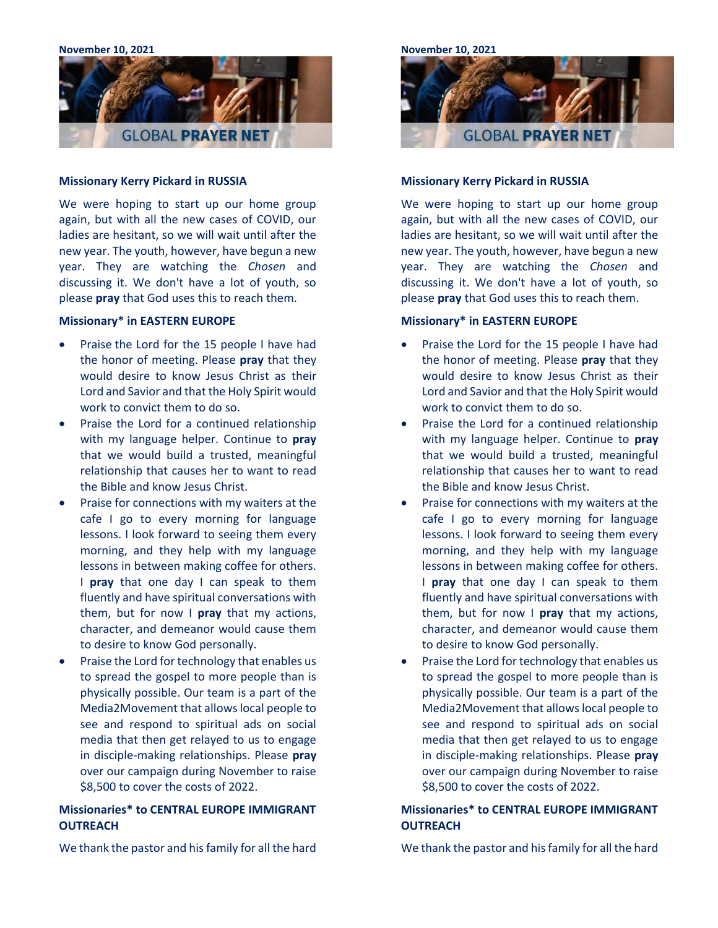**November 10, 2021**



#### **Missionary Kerry Pickard in RUSSIA**

We were hoping to start up our home group again, but with all the new cases of COVID, our ladies are hesitant, so we will wait until after the new year. The youth, however, have begun a new year. They are watching the *Chosen* and discussing it. We don't have a lot of youth, so please **pray** that God uses this to reach them.

## **Missionary\* in EASTERN EUROPE**

- Praise the Lord for the 15 people I have had the honor of meeting. Please **pray** that they would desire to know Jesus Christ as their Lord and Savior and that the Holy Spirit would work to convict them to do so.
- Praise the Lord for a continued relationship with my language helper. Continue to **pray** that we would build a trusted, meaningful relationship that causes her to want to read the Bible and know Jesus Christ.
- Praise for connections with my waiters at the cafe I go to every morning for language lessons. I look forward to seeing them every morning, and they help with my language lessons in between making coffee for others. I **pray** that one day I can speak to them fluently and have spiritual conversations with them, but for now I **pray** that my actions, character, and demeanor would cause them to desire to know God personally.
- Praise the Lord for technology that enables us to spread the gospel to more people than is physically possible. Our team is a part of the Media2Movement that allows local people to see and respond to spiritual ads on social media that then get relayed to us to engage in disciple-making relationships. Please **pray** over our campaign during November to raise \$8,500 to cover the costs of 2022.

# **Missionaries\* to CENTRAL EUROPE IMMIGRANT OUTREACH**

We thank the pastor and his family for all the hard



#### **Missionary Kerry Pickard in RUSSIA**

We were hoping to start up our home group again, but with all the new cases of COVID, our ladies are hesitant, so we will wait until after the new year. The youth, however, have begun a new year. They are watching the *Chosen* and discussing it. We don't have a lot of youth, so please **pray** that God uses this to reach them.

## **Missionary\* in EASTERN EUROPE**

- Praise the Lord for the 15 people I have had the honor of meeting. Please **pray** that they would desire to know Jesus Christ as their Lord and Savior and that the Holy Spirit would work to convict them to do so.
- Praise the Lord for a continued relationship with my language helper. Continue to **pray** that we would build a trusted, meaningful relationship that causes her to want to read the Bible and know Jesus Christ.
- Praise for connections with my waiters at the cafe I go to every morning for language lessons. I look forward to seeing them every morning, and they help with my language lessons in between making coffee for others. I **pray** that one day I can speak to them fluently and have spiritual conversations with them, but for now I **pray** that my actions, character, and demeanor would cause them to desire to know God personally.
- Praise the Lord for technology that enables us to spread the gospel to more people than is physically possible. Our team is a part of the Media2Movement that allows local people to see and respond to spiritual ads on social media that then get relayed to us to engage in disciple-making relationships. Please **pray** over our campaign during November to raise \$8,500 to cover the costs of 2022.

# **Missionaries\* to CENTRAL EUROPE IMMIGRANT OUTREACH**

We thank the pastor and his family for all the hard